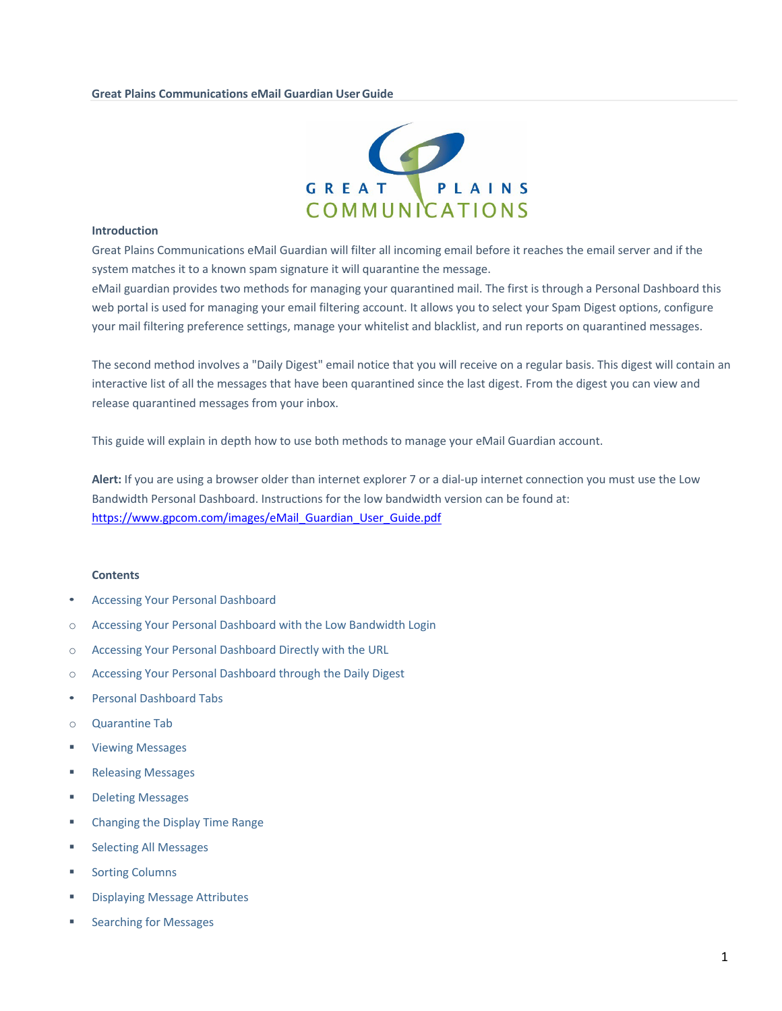#### **Great Plains Communications eMail Guardian UserGuide**



#### **Introduction**

Great Plains Communications eMail Guardian will filter all incoming email before it reaches the email server and if the system matches it to a known spam signature it will quarantine the message.

eMail guardian provides two methods for managing your quarantined mail. The first is through a Personal Dashboard this web portal is used for managing your email filtering account. It allows you to select your Spam Digest options, configure your mail filtering preference settings, manage your whitelist and blacklist, and run reports on quarantined messages.

The second method involves a "Daily Digest" email notice that you will receive on a regular basis. This digest will contain an interactive list of all the messages that have been quarantined since the last digest. From the digest you can view and release quarantined messages from your inbox.

This guide will explain in depth how to use both methods to manage your eMail Guardian account.

**Alert:** If you are using a browser older than internet explorer 7 or a dial-up internet connection you must use the Low Bandwidth Personal Dashboard. Instructions for the low bandwidth version can be found at: https://www.gpcom.com/images/eMail\_Guardian\_User\_Guide.pdf

#### **Contents**

- Accessing Your Personal Dashboard
- o Accessing Your Personal Dashboard with the Low Bandwidth Login
- o Accessing Your Personal Dashboard Directly with the URL
- o Accessing Your Personal Dashboard through the Daily Digest
- Personal Dashboard Tabs
- o Quarantine Tab
- § Viewing Messages
- Releasing Messages
- Deleting Messages
- Changing the Display Time Range
- § Selecting All Messages
- Sorting Columns
- § Displaying Message Attributes
- § Searching for Messages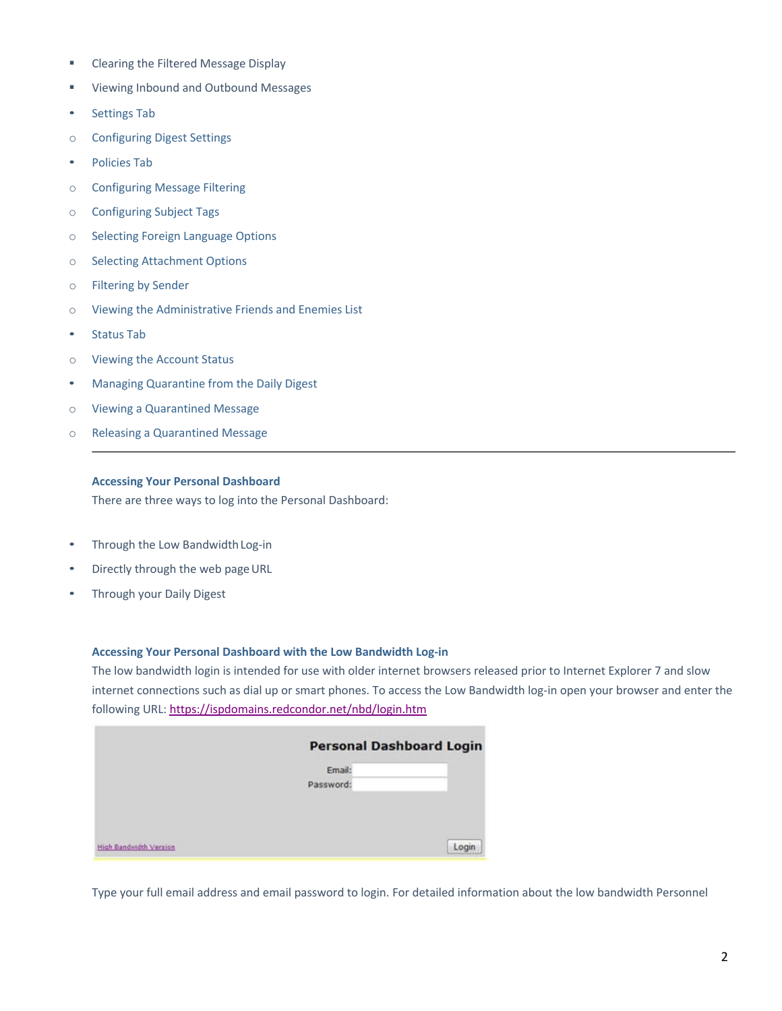- Clearing the Filtered Message Display
- Viewing Inbound and Outbound Messages
- Settings Tab
- o Configuring Digest Settings
- Policies Tab
- o Configuring Message Filtering
- o Configuring Subject Tags
- o Selecting Foreign Language Options
- o Selecting Attachment Options
- o Filtering by Sender
- o Viewing the Administrative Friends and Enemies List
- Status Tab
- o Viewing the Account Status
- Managing Quarantine from the Daily Digest
- o Viewing a Quarantined Message
- o Releasing a Quarantined Message

#### **Accessing Your Personal Dashboard**

There are three ways to log into the Personal Dashboard:

- Through the Low BandwidthLog-in
- Directly through the web page URL
- Through your Daily Digest

## **Accessing Your Personal Dashboard with the Low Bandwidth Log-in**

The low bandwidth login is intended for use with older internet browsers released prior to Internet Explorer 7 and slow internet connections such as dial up or smart phones. To access the Low Bandwidth log-in open your browser and enter the following URL: https://ispdomains.redcondor.net/nbd/login.htm

|                        | <b>Personal Dashboard Login</b> |       |
|------------------------|---------------------------------|-------|
|                        | Email:                          |       |
|                        | Password:                       |       |
|                        |                                 |       |
|                        |                                 |       |
|                        |                                 |       |
| High Bandwidth Version |                                 | Login |

Type your full email address and email password to login. For detailed information about the low bandwidth Personnel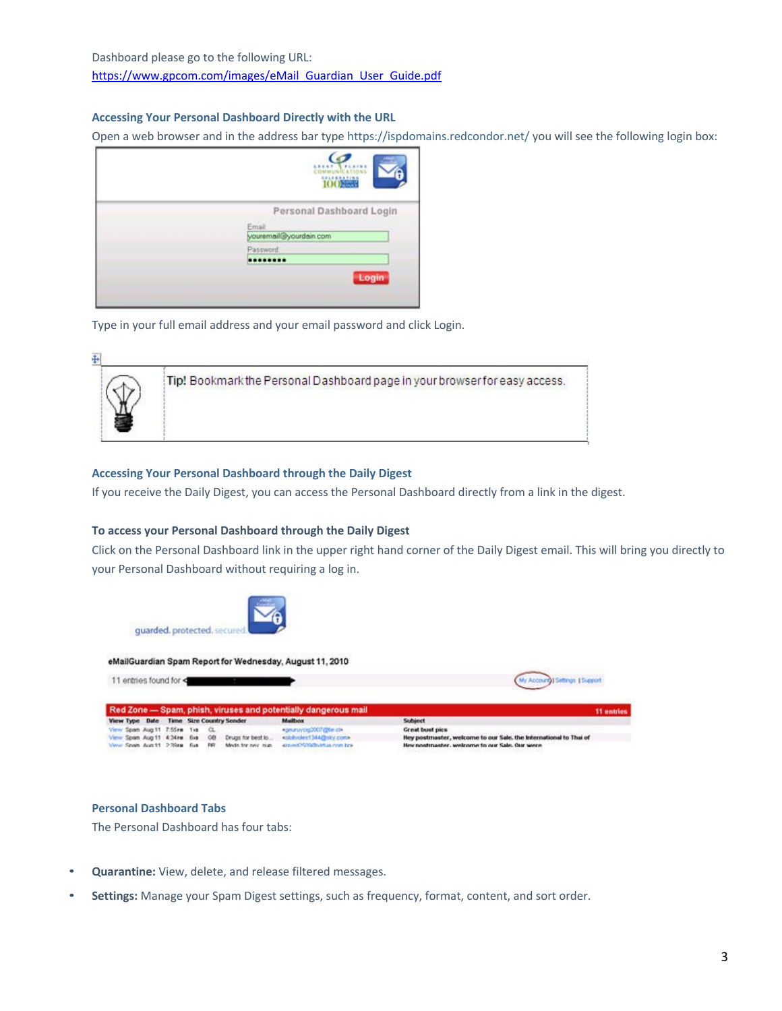# **Accessing Your Personal Dashboard Directly with the URL**

Open a web browser and in the address bar type https://ispdomains.redcondor.net/ you will see the following login box:

| MMUNICATIONS<br>100000   |
|--------------------------|
| Personal Dashboard Login |
| Email:                   |
| youremail@yourdain.com   |
| Password.                |
|                          |
| Login                    |

Type in your full email address and your email password and click Login.

| Tip! Bookmark the Personal Dashboard page in your browser for easy access. |
|----------------------------------------------------------------------------|
|                                                                            |
|                                                                            |
|                                                                            |

# **Accessing Your Personal Dashboard through the Daily Digest**

If you receive the Daily Digest, you can access the Personal Dashboard directly from a link in the digest.

#### **To access your Personal Dashboard through the Daily Digest**

Click on the Personal Dashboard link in the upper right hand corner of the Daily Digest email. This will bring you directly to your Personal Dashboard without requiring a log in.



#### **Personal Dashboard Tabs**

The Personal Dashboard has four tabs:

- **Quarantine:** View, delete, and release filtered messages.
- **Settings:** Manage your Spam Digest settings, such as frequency, format, content, and sort order.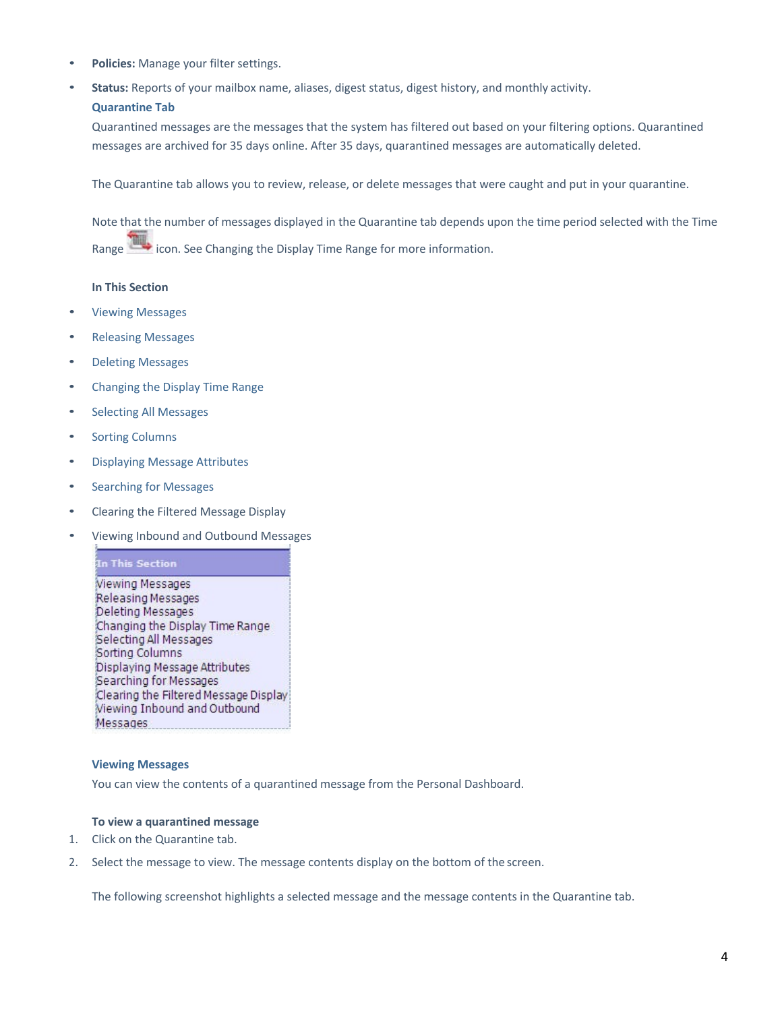- **Policies:** Manage your filter settings.
- **Status:** Reports of your mailbox name, aliases, digest status, digest history, and monthly activity.
	- **Quarantine Tab**

Quarantined messages are the messages that the system has filtered out based on your filtering options. Quarantined messages are archived for 35 days online. After 35 days, quarantined messages are automatically deleted.

The Quarantine tab allows you to review, release, or delete messages that were caught and put in your quarantine.

Note that the number of messages displayed in the Quarantine tab depends upon the time period selected with the Time Range in icon. See Changing the Display Time Range for more information.

# **In This Section**

- Viewing Messages
- Releasing Messages
- Deleting Messages
- Changing the Display Time Range
- Selecting All Messages
- **Sorting Columns**
- Displaying Message Attributes
- Searching for Messages
- Clearing the Filtered Message Display
- Viewing Inbound and Outbound Messages

In This Section Viewing Messages Releasing Messages Deleting Messages Changing the Display Time Range Selecting All Messages Sorting Columns Displaying Message Attributes Searching for Messages Clearing the Filtered Message Display Viewing Inbound and Outbound Messages

# **Viewing Messages**

You can view the contents of a quarantined message from the Personal Dashboard.

# **To view a quarantined message**

- 1. Click on the Quarantine tab.
- 2. Select the message to view. The message contents display on the bottom of the screen.

The following screenshot highlights a selected message and the message contents in the Quarantine tab.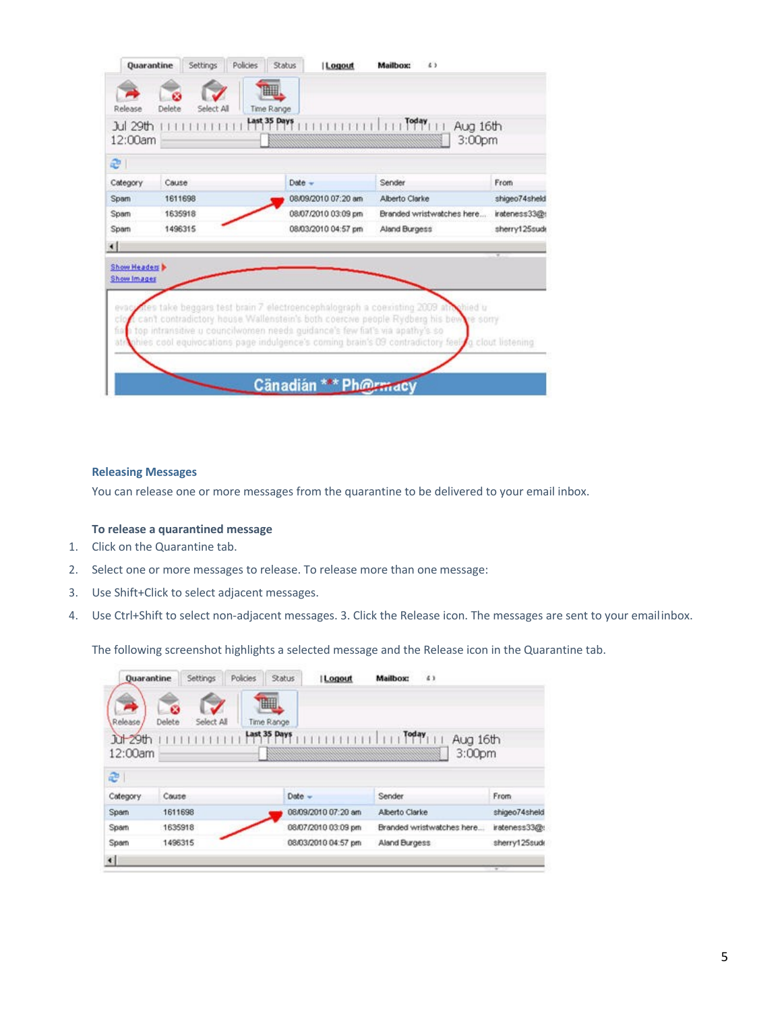| 12:00am<br>e                                |         |                     | 3:00pm                                                                                                                                                                            |               |
|---------------------------------------------|---------|---------------------|-----------------------------------------------------------------------------------------------------------------------------------------------------------------------------------|---------------|
| Category                                    | Cause   | Date -              | Sender                                                                                                                                                                            | From          |
| Spam                                        | 1611698 | 08/09/2010 07:20 am | Alberto Clarke                                                                                                                                                                    | shigeo74sheld |
| Spam                                        | 1635918 | 08/07/2010 03:09 pm | Branded wristwatches here                                                                                                                                                         | irateness33@: |
| Sparn                                       | 1496315 | 08/03/2010 04:57 pm | Aland Burgess                                                                                                                                                                     | sherry125sude |
| $\leftarrow$<br>Show Headers<br>Show Images |         |                     |                                                                                                                                                                                   |               |
|                                             |         |                     | every free take beggars fest brain 7 electroencephalograph a coexisting 2009 attrabied u<br>can't contradictory house. Wallenstein's both coercive people Rydberg his bewre sorry |               |

# **Releasing Messages**

You can release one or more messages from the quarantine to be delivered to your email inbox.

# **To release a quarantined message**

- 1. Click on the Quarantine tab.
- 2. Select one or more messages to release. To release more than one message:
- 3. Use Shift+Click to select adjacent messages.
- 4. Use Ctrl+Shift to select non-adjacent messages. 3. Click the Release icon. The messages are sent to your emailinbox.

The following screenshot highlights a selected message and the Release icon in the Quarantine tab.

| Quarantine                                         |             | Settings   | <b>Policies</b> | <b>Status</b>                   | <b>Logout</b>       | Mailbox:       | 43                        |               |
|----------------------------------------------------|-------------|------------|-----------------|---------------------------------|---------------------|----------------|---------------------------|---------------|
| $\rightarrow$<br>Release<br>$h + 29$ th<br>12:00am | Ø<br>Delete | Select All |                 | ⊞<br>Time Range<br>Last 35 Days |                     | Today          | Aug 16th<br>3:00pm        |               |
| æ                                                  |             |            |                 |                                 |                     |                |                           |               |
| Category                                           | Couse       |            |                 | $Date -$                        |                     | Sender         |                           | From          |
| Spam                                               | 1611698     |            |                 |                                 | 08/09/2010 07:20 am | Alberto Clarke |                           | shigeo74sheld |
| Spam                                               | 1635918     |            |                 |                                 | 08/07/2010 03:09 pm |                | Branded wristwatches here | irateness33@t |
| Spam                                               | 1496315     |            |                 |                                 | 08/03/2010 04:57 pm | Aland Burgess  |                           | sherry125sude |
| $\left  \cdot \right $                             |             |            |                 |                                 |                     |                |                           |               |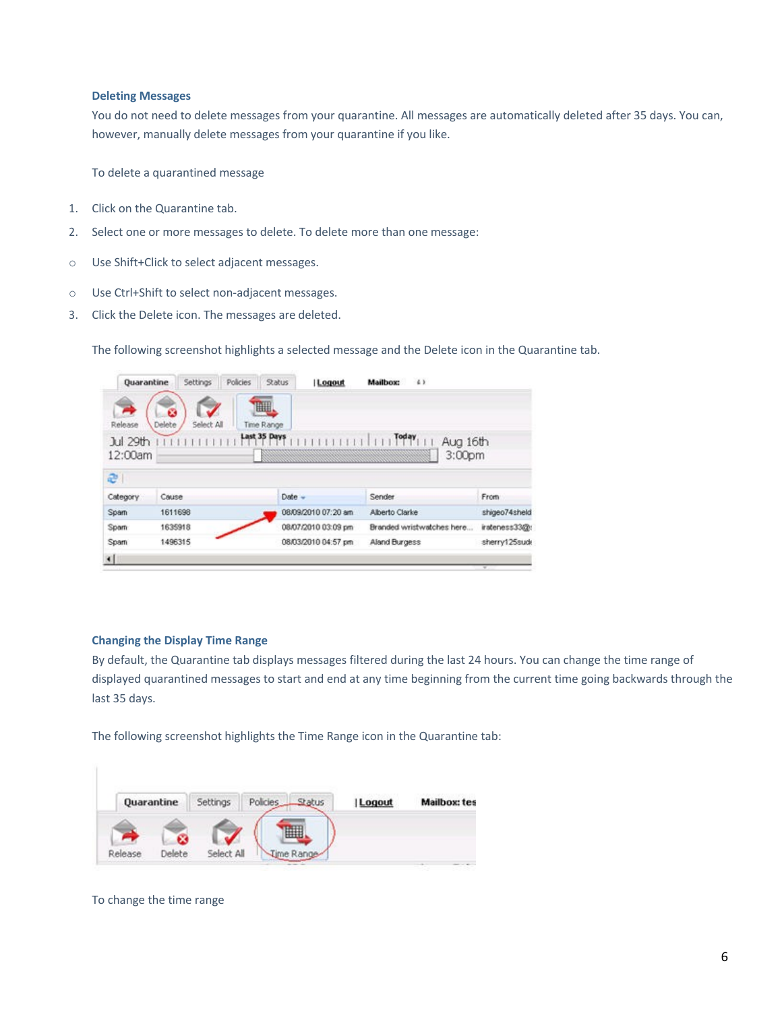#### **Deleting Messages**

You do not need to delete messages from your quarantine. All messages are automatically deleted after 35 days. You can, however, manually delete messages from your quarantine if you like.

To delete a quarantined message

- 1. Click on the Quarantine tab.
- 2. Select one or more messages to delete. To delete more than one message:
- o Use Shift+Click to select adjacent messages.
- o Use Ctrl+Shift to select non-adjacent messages.
- 3. Click the Delete icon. The messages are deleted.

The following screenshot highlights a selected message and the Delete icon in the Quarantine tab.

| <b>Quarantine</b> | Settings | <b>Policies</b> | <b>Status</b> | Logout              | Mailbox:       | 43                        |               |
|-------------------|----------|-----------------|---------------|---------------------|----------------|---------------------------|---------------|
|                   | 63       |                 | H             |                     |                |                           |               |
| Release           | Delete   | Select All      | Time Range    |                     |                |                           |               |
| Jul 29th          |          |                 | Last 35 Days  |                     | Today          | Aug 16th                  |               |
| 12:00am           |          |                 |               |                     |                | 3:00 <sub>pm</sub>        |               |
| e                 |          |                 |               |                     |                |                           |               |
|                   |          |                 |               |                     |                |                           |               |
| Category          | Cause    |                 | $Date -$      |                     | Sender         |                           | From          |
| Spam              | 1611698  |                 |               | 08/09/2010 07:20 am | Alberto Clarke |                           | shigeo74sheld |
| Spam              | 1635918  |                 |               | 08/07/2010 03:09 pm |                | Branded wristwatches here | irateness33@: |
| Spam              | 1496315  |                 |               | 08/03/2010 04:57 pm | Aland Burgess  |                           | sherry125sude |
| $\blacksquare$    |          |                 |               |                     |                |                           |               |

# **Changing the Display Time Range**

By default, the Quarantine tab displays messages filtered during the last 24 hours. You can change the time range of displayed quarantined messages to start and end at any time beginning from the current time going backwards through the last 35 days.

The following screenshot highlights the Time Range icon in the Quarantine tab:

|         | Quarantine | Settings   | Policies. | Status | Logout | <b>Mailbox: tes</b> |
|---------|------------|------------|-----------|--------|--------|---------------------|
|         |            |            |           |        |        |                     |
| Release | Delete     | Select All | ime Range |        |        |                     |
|         |            |            |           |        |        |                     |

#### To change the time range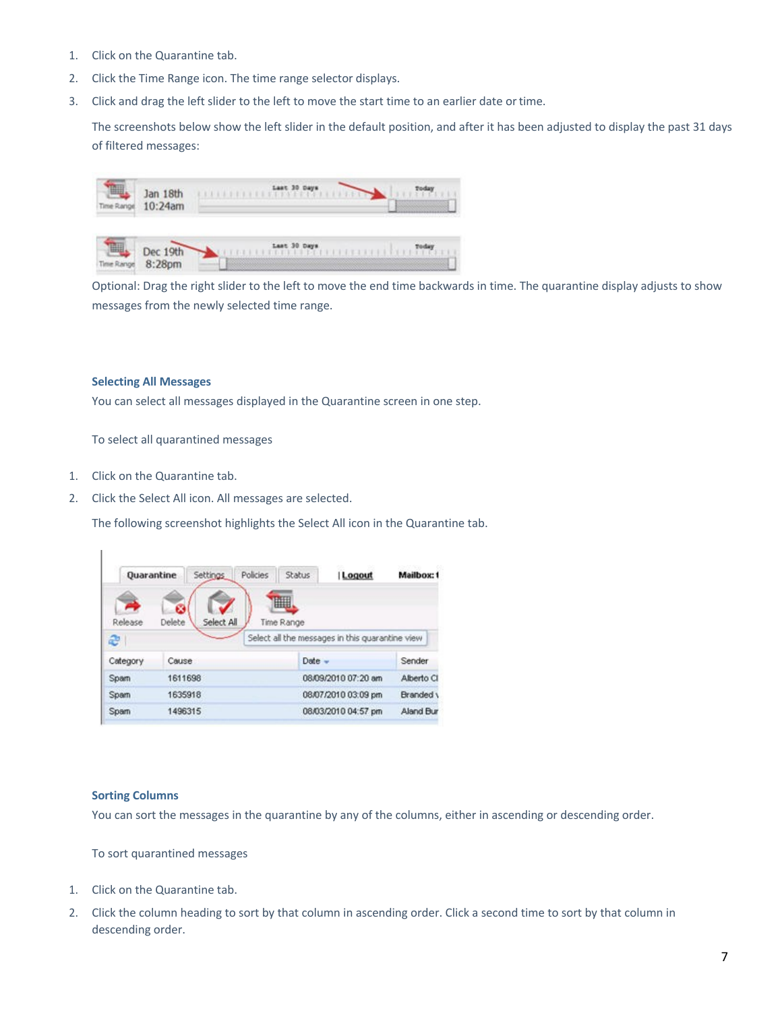- 1. Click on the Quarantine tab.
- 2. Click the Time Range icon. The time range selector displays.
- 3. Click and drag the left slider to the left to move the start time to an earlier date ortime.

The screenshots below show the left slider in the default position, and after it has been adjusted to display the past 31 days of filtered messages:



Optional: Drag the right slider to the left to move the end time backwards in time. The quarantine display adjusts to show messages from the newly selected time range.

#### **Selecting All Messages**

You can select all messages displayed in the Quarantine screen in one step.

To select all quarantined messages

1. Click on the Quarantine tab.

 $\mathbf{I}$ 

2. Click the Select All icon. All messages are selected.

The following screenshot highlights the Select All icon in the Quarantine tab.

| Quarantine   |         | Settings   | Policies | Status     | Logout                                          | Mailbox: 1 |
|--------------|---------|------------|----------|------------|-------------------------------------------------|------------|
|              |         |            |          | m          |                                                 |            |
| Release      | Delete  | Select All |          | Time Range |                                                 |            |
| æ            |         |            |          |            | Select all the messages in this guarantine view |            |
| Category     | Cause   |            |          | $Date -$   |                                                 | Sender     |
| <b>Sparn</b> |         | 1611698    |          |            | 08/09/2010 07:20 am                             | Alberto Cl |
| Spam         | 1635918 |            |          |            | 08/07/2010 03:09 pm                             | Branded y  |
|              |         |            |          |            |                                                 |            |

#### **Sorting Columns**

You can sort the messages in the quarantine by any of the columns, either in ascending or descending order.

To sort quarantined messages

- 1. Click on the Quarantine tab.
- 2. Click the column heading to sort by that column in ascending order. Click a second time to sort by that column in descending order.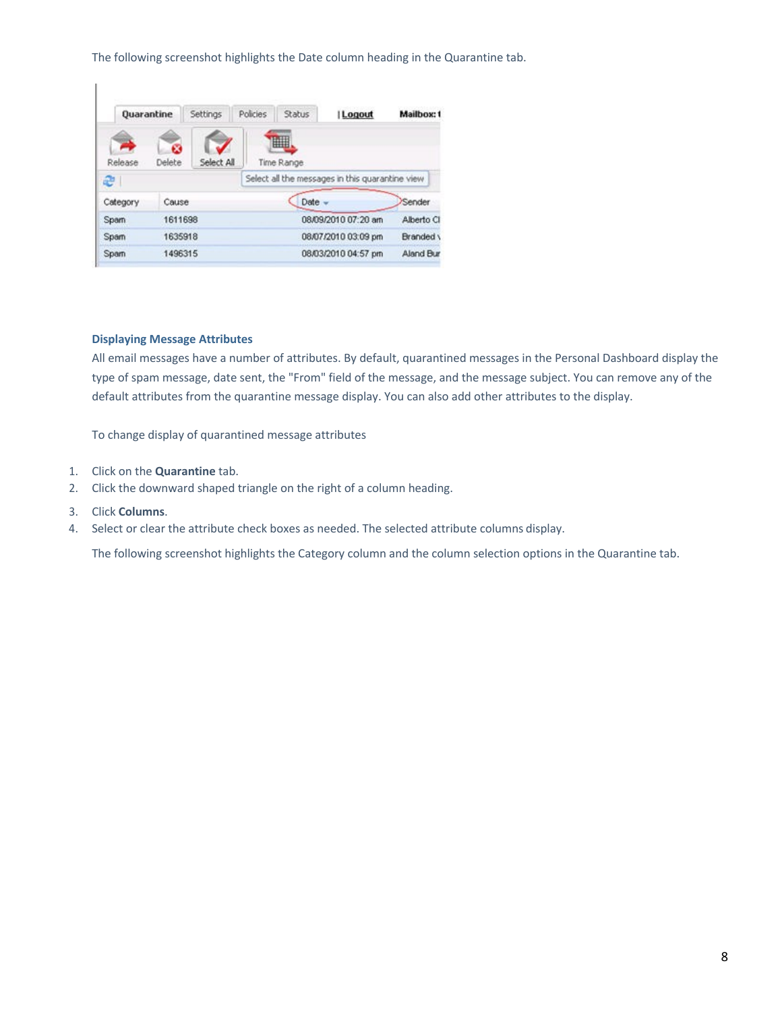The following screenshot highlights the Date column heading in the Quarantine tab.

| <b>Quarantine</b> |             | Settings   | Policies | Status     | Logout                                          | Mailbox: 1 |
|-------------------|-------------|------------|----------|------------|-------------------------------------------------|------------|
| Release           | œ<br>Delete | Select All |          | ▦          |                                                 |            |
| æ                 |             |            |          | Time Range | Select all the messages in this quarantine view |            |
| Category          | Cause       |            |          | Date       | $\overline{\phantom{a}}$                        | Sender     |
| Sparn             | 1611698     |            |          |            | 08/09/2010 07:20 am                             | Alberto Cl |
| Spam              | 1635918     |            |          |            | 08/07/2010 03:09 pm                             | Branded \  |
| Sparn             | 1496315     |            |          |            | 08/03/2010 04:57 pm                             | Aland Bur  |

# **Displaying Message Attributes**

All email messages have a number of attributes. By default, quarantined messages in the Personal Dashboard display the type of spam message, date sent, the "From" field of the message, and the message subject. You can remove any of the default attributes from the quarantine message display. You can also add other attributes to the display.

To change display of quarantined message attributes

- 1. Click on the **Quarantine** tab.
- 2. Click the downward shaped triangle on the right of a column heading.
- 3. Click **Columns**.

 $\overline{\phantom{a}}$ 

4. Select or clear the attribute check boxes as needed. The selected attribute columns display.

The following screenshot highlights the Category column and the column selection options in the Quarantine tab.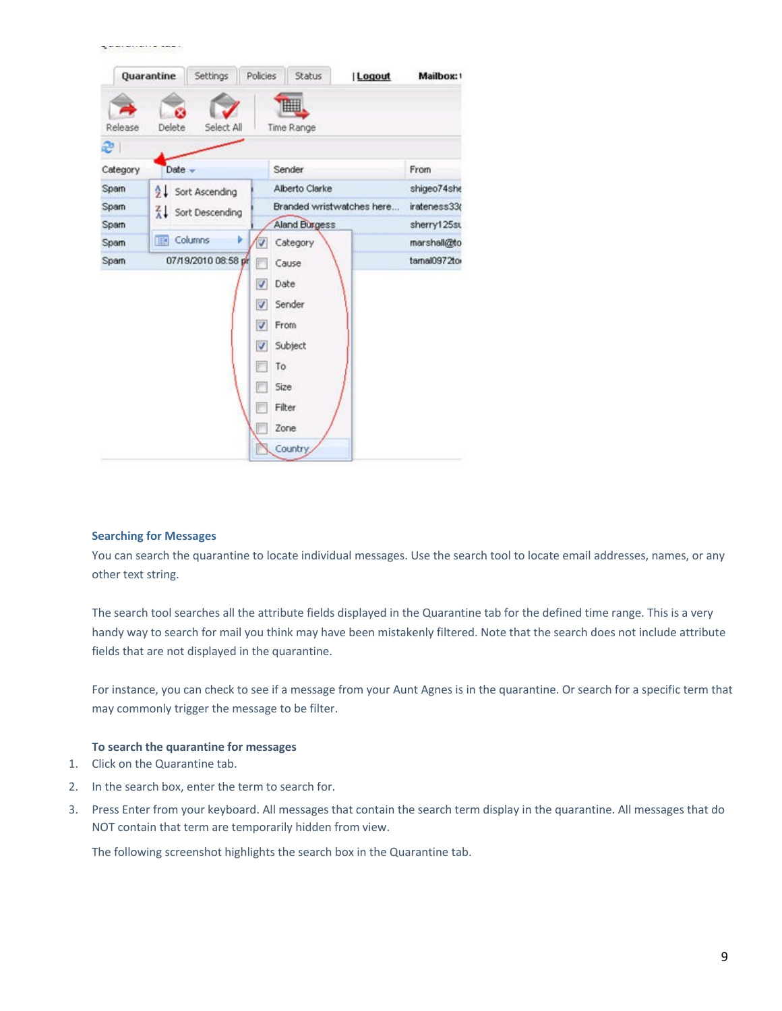|              |                         | ▦                                  |              |
|--------------|-------------------------|------------------------------------|--------------|
| Release      | Delete<br>Select All    | Time Range                         |              |
| $\mathbf{e}$ |                         |                                    |              |
| Category     | Date                    | Sender                             | From         |
| Sparn        | Sort Ascending          | Alberto Clarke                     | shigeo74she  |
| Sparn        | Sort Descending         | Branded wristwatches here          | irateness33( |
| Sparn        |                         | Aland Burgess                      | sherry125st  |
| Sparn        | <b>THE Columns</b><br>ь | Category                           | marshall@to  |
| Sparn        | 07/19/2010 08:58 pr     | Cause                              | tamal0972tor |
|              |                         | Date<br>v                          |              |
|              |                         | Sender<br>$\overline{\mathcal{L}}$ |              |
|              |                         | $\blacktriangledown$<br>From       |              |
|              |                         | V<br>Subject                       |              |
|              |                         | 同<br>To                            |              |
|              |                         | г<br>Size                          |              |
|              |                         | <b>Filter</b><br>m                 |              |
|              |                         | Zone                               |              |
|              |                         |                                    |              |

#### **Searching for Messages**

**The Committee Committee Committee** 

You can search the quarantine to locate individual messages. Use the search tool to locate email addresses, names, or any other text string.

The search tool searches all the attribute fields displayed in the Quarantine tab for the defined time range. This is a very handy way to search for mail you think may have been mistakenly filtered. Note that the search does not include attribute fields that are not displayed in the quarantine.

For instance, you can check to see if a message from your Aunt Agnes is in the quarantine. Or search for a specific term that may commonly trigger the message to be filter.

## **To search the quarantine for messages**

- 1. Click on the Quarantine tab.
- 2. In the search box, enter the term to search for.
- 3. Press Enter from your keyboard. All messages that contain the search term display in the quarantine. All messages that do NOT contain that term are temporarily hidden from view.

The following screenshot highlights the search box in the Quarantine tab.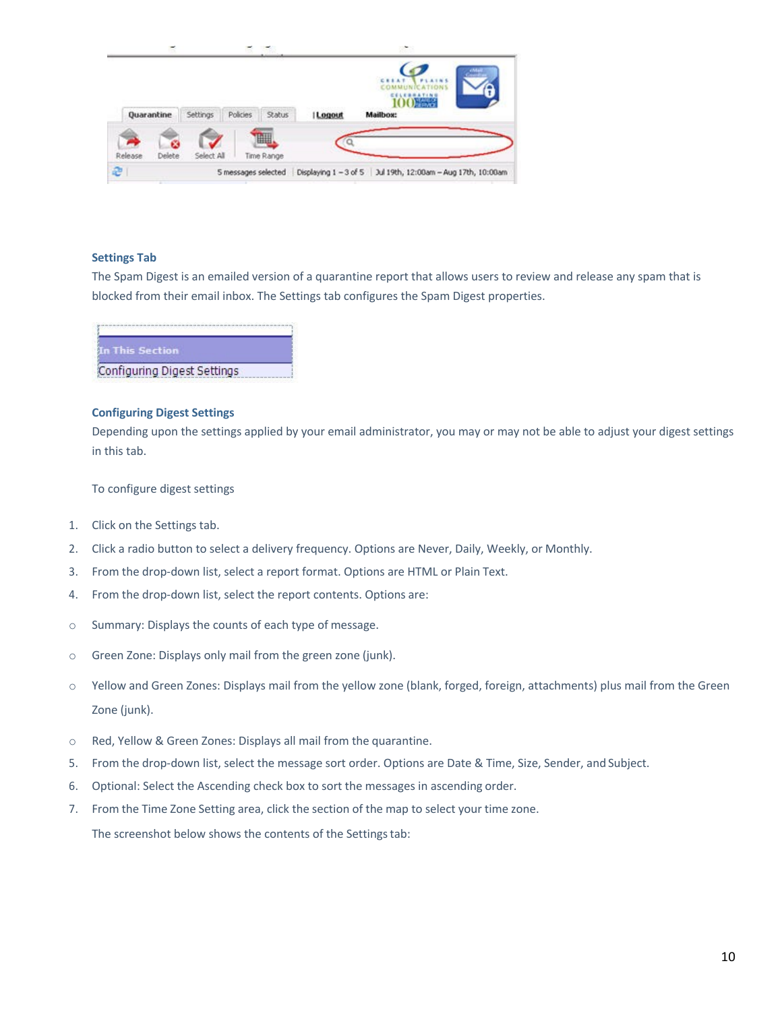|   |         | Quarantine | Settings   | Policies            | <b>Status</b>   | Logout | CESAT<br>100<br>Mailbox:                                    |  |
|---|---------|------------|------------|---------------------|-----------------|--------|-------------------------------------------------------------|--|
|   | Release | Delete     | Select All |                     | H<br>Time Range |        |                                                             |  |
| æ |         |            |            | 5 messages selected |                 |        | Displaying 1 - 3 of 5 Jul 19th, 12:00am - Aug 17th, 10:00am |  |

#### **Settings Tab**

The Spam Digest is an emailed version of a quarantine report that allows users to review and release any spam that is blocked from their email inbox. The Settings tab configures the Spam Digest properties.

| his Section |  |  |
|-------------|--|--|
|             |  |  |

#### **Configuring Digest Settings**

Depending upon the settings applied by your email administrator, you may or may not be able to adjust your digest settings in this tab.

To configure digest settings

- 1. Click on the Settings tab.
- 2. Click a radio button to select a delivery frequency. Options are Never, Daily, Weekly, or Monthly.
- 3. From the drop-down list, select a report format. Options are HTML or Plain Text.
- 4. From the drop-down list, select the report contents. Options are:
- o Summary: Displays the counts of each type of message.
- o Green Zone: Displays only mail from the green zone (junk).
- o Yellow and Green Zones: Displays mail from the yellow zone (blank, forged, foreign, attachments) plus mail from the Green Zone (junk).
- o Red, Yellow & Green Zones: Displays all mail from the quarantine.
- 5. From the drop-down list, select the message sort order. Options are Date & Time, Size, Sender, and Subject.
- 6. Optional: Select the Ascending check box to sort the messages in ascending order.
- 7. From the Time Zone Setting area, click the section of the map to select your time zone. The screenshot below shows the contents of the Settings tab: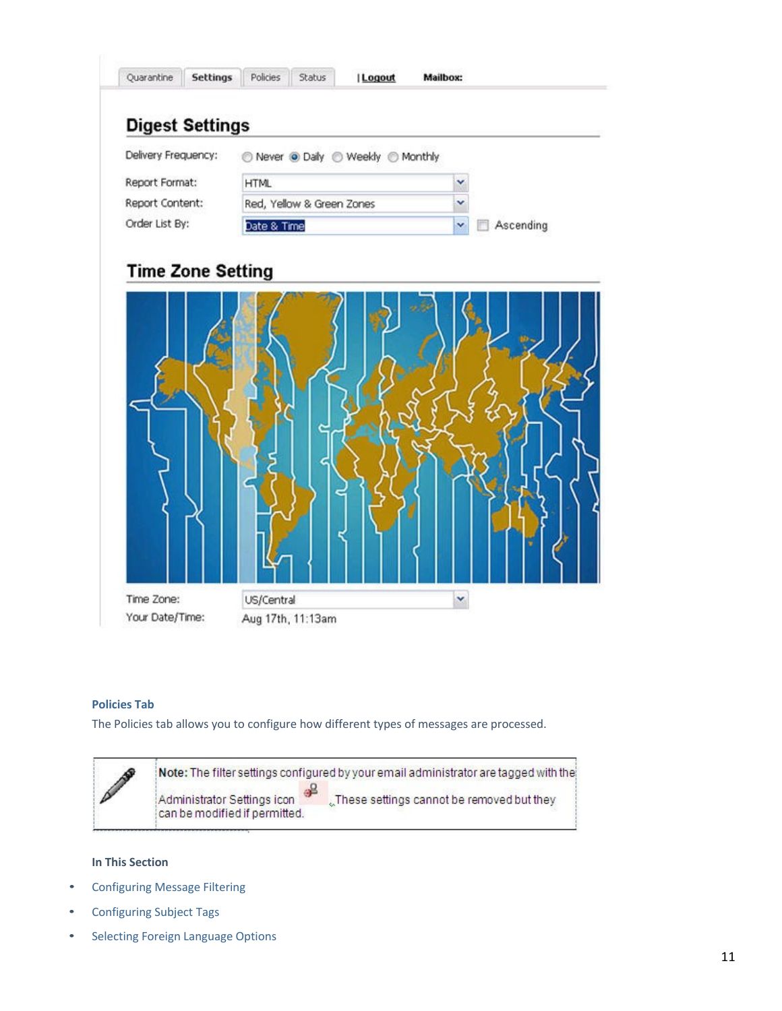

# **Policies Tab**

The Policies tab allows you to configure how different types of messages are processed.



# **In This Section**

- Configuring Message Filtering
- Configuring Subject Tags
- Selecting Foreign Language Options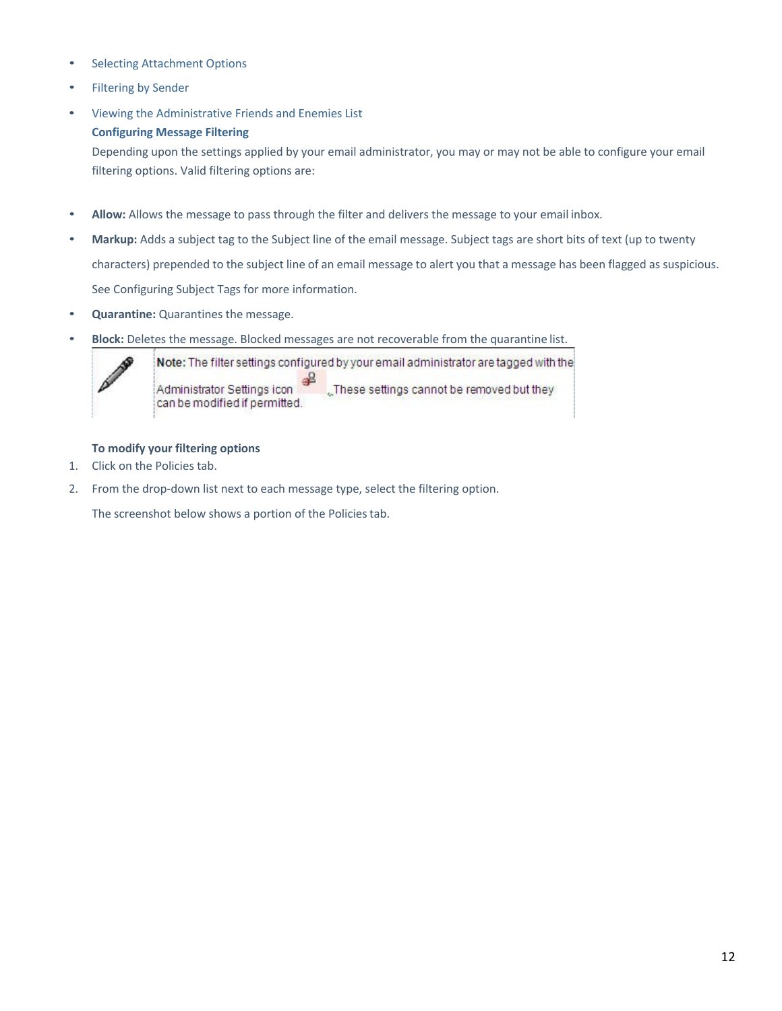- Selecting Attachment Options
- Filtering by Sender
- Viewing the Administrative Friends and Enemies List **Configuring Message Filtering**

Depending upon the settings applied by your email administrator, you may or may not be able to configure your email filtering options. Valid filtering options are:

- **Allow:** Allows the message to pass through the filter and delivers the message to your email inbox.
- **Markup:** Adds a subject tag to the Subject line of the email message. Subject tags are short bits of text (up to twenty characters) prepended to the subject line of an email message to alert you that a message has been flagged as suspicious. See Configuring Subject Tags for more information.
- **Quarantine:** Quarantines the message.
- **Block:** Deletes the message. Blocked messages are not recoverable from the quarantine list.



Note: The filter settings configured by your email administrator are tagged with the ∉≗ Administrator Settings icon "These settings cannot be removed but they can be modified if permitted.

# **To modify your filtering options**

- 1. Click on the Policies tab.
- 2. From the drop-down list next to each message type, select the filtering option.

The screenshot below shows a portion of the Policies tab.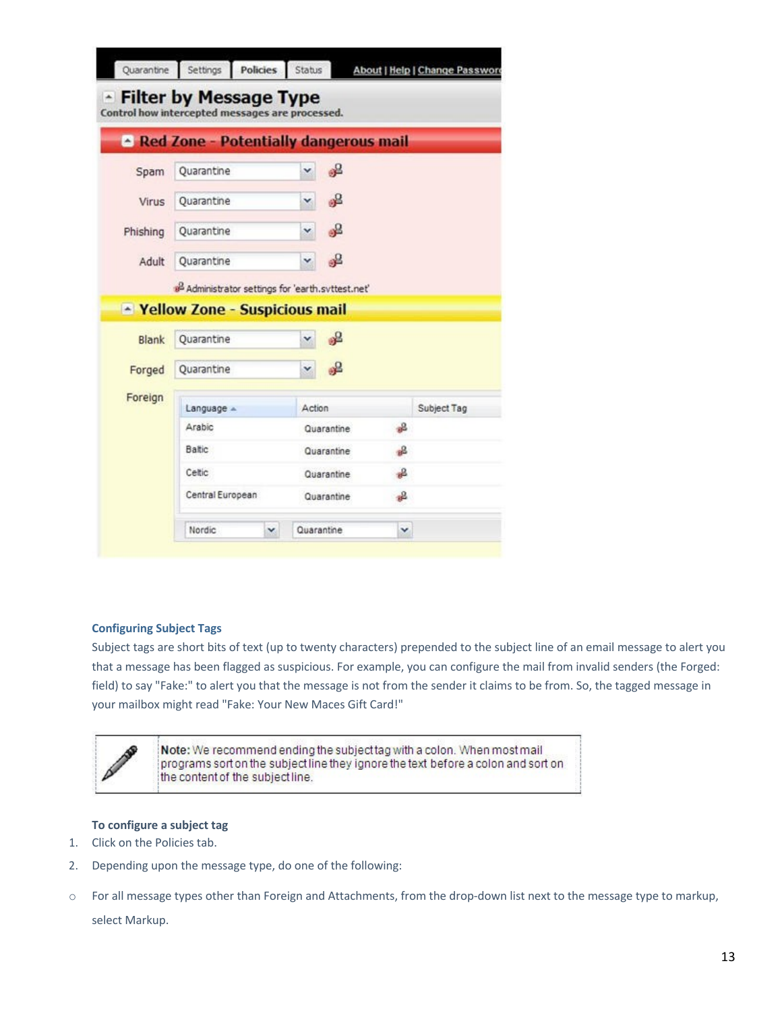|          | <b>Red Zone - Potentially dangerous mail</b>                  |        |                          |                    |             |
|----------|---------------------------------------------------------------|--------|--------------------------|--------------------|-------------|
| Spam     | Quarantine                                                    | v      | ஃ                        |                    |             |
| Virus    | Ouarantine                                                    | v      | ஃ                        |                    |             |
| Phishing | Quarantine                                                    | v      | ஃ                        |                    |             |
| Adult    | Quarantine                                                    | ٧      | age.                     |                    |             |
|          | a <sup>2</sup> Administrator settings for 'earth.syttest.net' |        |                          |                    |             |
|          |                                                               |        |                          |                    |             |
|          | - Yellow Zone - Suspicious mail                               |        |                          |                    |             |
| Blank    | Quarantine                                                    | v      | ஃ                        |                    |             |
| Forged   | Quarantine                                                    | ×      | ag -                     |                    |             |
|          | Language =                                                    | Action |                          |                    | Subject Tag |
|          | Arabic                                                        |        | Quarantine               | 品                  |             |
|          | Baltic                                                        |        | Quarantine               | 品                  |             |
| Foreign  |                                                               |        |                          |                    |             |
|          | Celtic<br>Central European                                    |        | Quarantine<br>Quarantine | -e<br>$\mathbb{R}$ |             |

# **Configuring Subject Tags**

Subject tags are short bits of text (up to twenty characters) prepended to the subject line of an email message to alert you that a message has been flagged as suspicious. For example, you can configure the mail from invalid senders (the Forged: field) to say "Fake:" to alert you that the message is not from the sender it claims to be from. So, the tagged message in your mailbox might read "Fake: Your New Maces Gift Card!"



Note: We recommend ending the subject tag with a colon. When most mail programs sort on the subject line they ignore the text before a colon and sort on the content of the subject line.

#### **To configure a subject tag**

- 1. Click on the Policies tab.
- 2. Depending upon the message type, do one of the following:
- o For all message types other than Foreign and Attachments, from the drop-down list next to the message type to markup,

select Markup.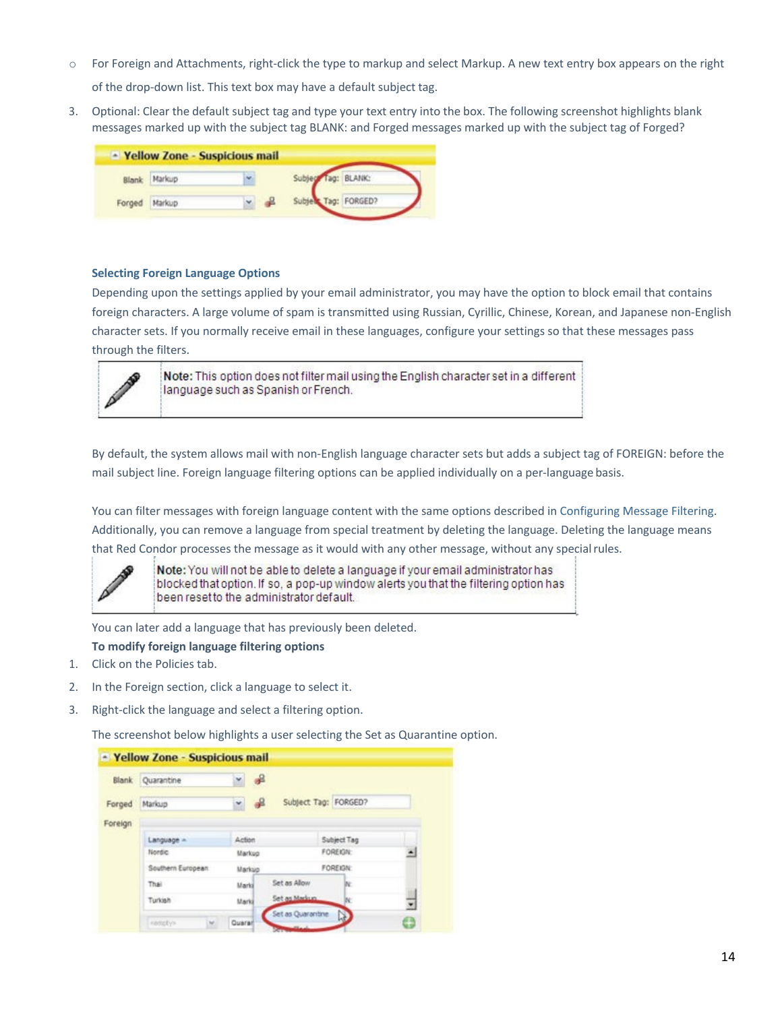o For Foreign and Attachments, right-click the type to markup and select Markup. A new text entry box appears on the right

of the drop-down list. This text box may have a default subject tag.

3. Optional: Clear the default subject tag and type your text entry into the box. The following screenshot highlights blank messages marked up with the subject tag BLANK: and Forged messages marked up with the subject tag of Forged?

| Markup |   | Subject Tag: BLANK:             |              |
|--------|---|---------------------------------|--------------|
| Markup | Ÿ | Subje                           | Tag: FORGED? |
|        |   | - Yellow Zone - Suspicious mail |              |

## **Selecting Foreign Language Options**

Depending upon the settings applied by your email administrator, you may have the option to block email that contains foreign characters. A large volume of spam is transmitted using Russian, Cyrillic, Chinese, Korean, and Japanese non-English character sets. If you normally receive email in these languages, configure your settings so that these messages pass through the filters.



Note: This option does not filter mail using the English character set in a different language such as Spanish or French.

By default, the system allows mail with non-English language character sets but adds a subject tag of FOREIGN: before the mail subject line. Foreign language filtering options can be applied individually on a per-language basis.

You can filter messages with foreign language content with the same options described in Configuring Message Filtering. Additionally, you can remove a language from special treatment by deleting the language. Deleting the language means that Red Condor processes the message as it would with any other message, without any special rules.



Note: You will not be able to delete a language if your email administrator has blocked that option. If so, a pop-up window alerts you that the filtering option has been reset to the administrator default.

You can later add a language that has previously been deleted.

#### **To modify foreign language filtering options**

- 1. Click on the Policies tab.
- 2. In the Foreign section, click a language to select it.
- 3. Right-click the language and select a filtering option.

The screenshot below highlights a user selecting the Set as Quarantine option.

|         | Blank Quarantine     | $\frac{1}{2}$ |                      |                 |   |
|---------|----------------------|---------------|----------------------|-----------------|---|
| Forged  | Markup               | -8<br>×       | Subject Tag: FORGED? |                 |   |
| Foreign |                      |               |                      |                 |   |
|         | Language =           | Action        |                      | Subject Tag     |   |
|         | Nordic               | Markup        |                      | <b>FOREIGN:</b> | ۸ |
|         | Southern European    | Markup        |                      | FOREIGN:        |   |
|         | Thai                 | Marki         | Set as Allow         | W.              |   |
|         | Turkish              | Marki         | Set as Markun        | W.              | ٠ |
|         | <b>KONSERVA</b><br>w | Quaran        | Set as Quarantine    | N)              |   |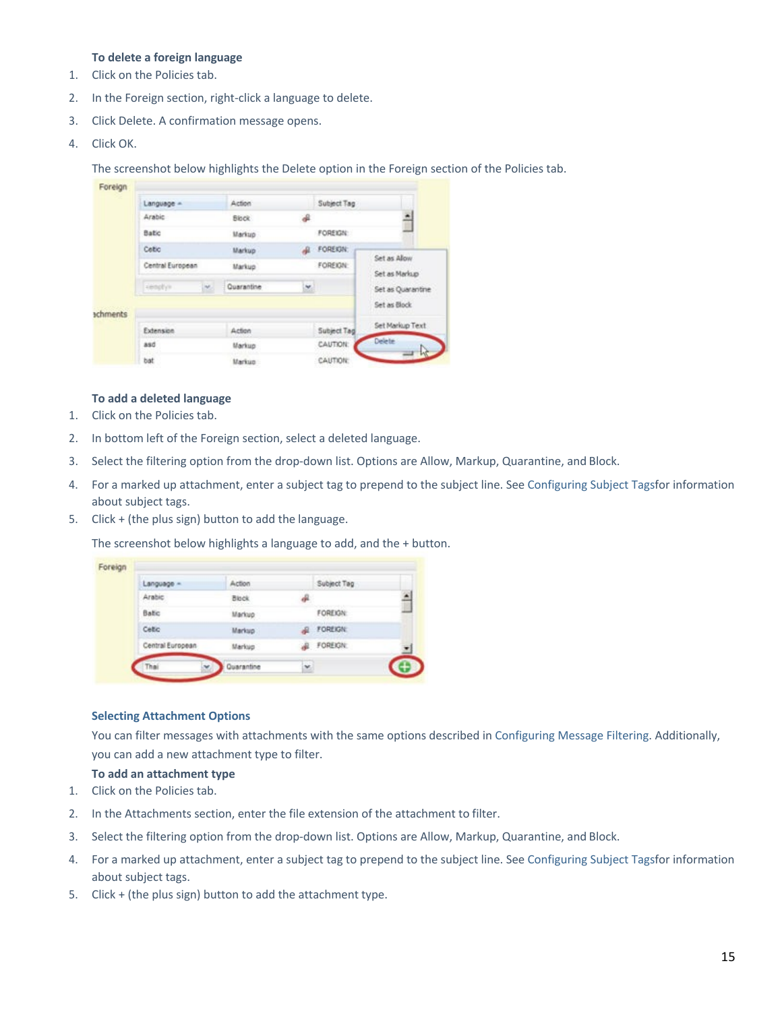# **To delete a foreign language**

- 1. Click on the Policies tab.
- 2. In the Foreign section, right-click a language to delete.
- 3. Click Delete. A confirmation message opens.
- 4. Click OK.

The screenshot below highlights the Delete option in the Foreign section of the Policies tab.

| Foreign  |                  |    |                     |    |                 |                              |
|----------|------------------|----|---------------------|----|-----------------|------------------------------|
|          | Language =       |    | Action <sup>®</sup> |    | Subject Tag     |                              |
|          | Arabic           |    | <b>Block</b>        |    |                 | Ξ                            |
|          | Batic            |    | Markup              |    | FOREIGN:        |                              |
|          | Cebo             |    | Markup              |    | FOREIGN:        |                              |
|          | Central European |    | Markup              |    | <b>FOREIGN:</b> | Set as Alow<br>Set as Markup |
|          | iesply»          | w. | Quarantine          | M, |                 | Set as Quarantine            |
| achments |                  |    |                     |    |                 | Set as Block                 |
|          | Extension        |    | Action              |    | Subject Tag     | Set Markup Text              |
|          | asd              |    | Markup              |    | CAUTION:        | <b>Delete</b><br>W           |
|          | bat              |    | Markup              |    | CAUTION:        |                              |

#### **To add a deleted language**

- 1. Click on the Policies tab.
- 2. In bottom left of the Foreign section, select a deleted language.
- 3. Select the filtering option from the drop-down list. Options are Allow, Markup, Quarantine, and Block.
- 4. For a marked up attachment, enter a subject tag to prepend to the subject line. See Configuring Subject Tagsfor information about subject tags.
- 5. Click + (the plus sign) button to add the language.

The screenshot below highlights a language to add, and the + button.

| Foreign |                  |               |    |                    |  |
|---------|------------------|---------------|----|--------------------|--|
|         | Language ~       | Action        |    | Subject Tag        |  |
|         | <b>Arabic</b>    | <b>Block</b>  | a. |                    |  |
|         | Batic            | Markup:       |    | <b>FOREIGN:</b>    |  |
|         | Celtic           | <b>Markup</b> |    | <b>AL FOREIGN:</b> |  |
|         | Central European | Markup        |    | <b>J</b> FOREIGN:  |  |
|         | w                | Quarantine    | ×  |                    |  |

#### **Selecting Attachment Options**

You can filter messages with attachments with the same options described in Configuring Message Filtering. Additionally, you can add a new attachment type to filter.

#### **To add an attachment type**

- 1. Click on the Policies tab.
- 2. In the Attachments section, enter the file extension of the attachment to filter.
- 3. Select the filtering option from the drop-down list. Options are Allow, Markup, Quarantine, and Block.
- 4. For a marked up attachment, enter a subject tag to prepend to the subject line. See Configuring Subject Tagsfor information about subject tags.
- 5. Click + (the plus sign) button to add the attachment type.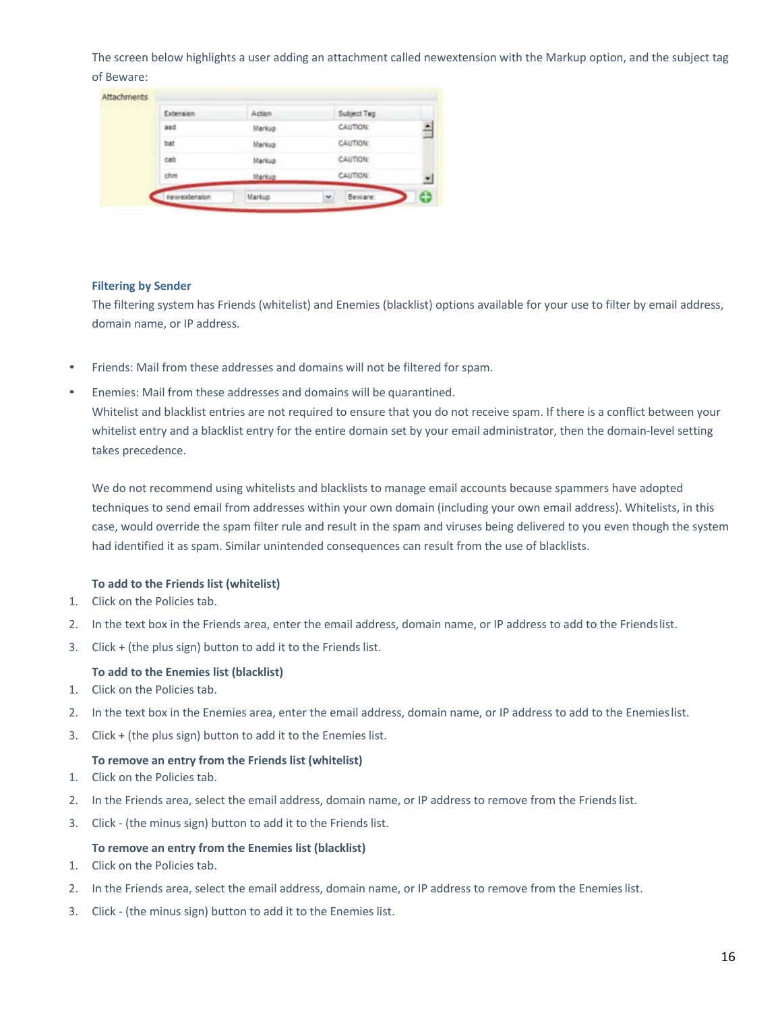The screen below highlights a user adding an attachment called newextension with the Markup option, and the subject tag of Beware:

|           |        |             | z |
|-----------|--------|-------------|---|
| chm.      | Markup | CAUTION:    |   |
| cab       | Markup | CAUTION:    |   |
| bat       | Markup | CAUTION:    |   |
| asd       | Markup | CAUTION:    | Ě |
| Extension | Action | Subject Tag |   |

#### **Filtering by Sender**

The filtering system has Friends (whitelist) and Enemies (blacklist) options available for your use to filter by email address, domain name, or IP address.

- Friends: Mail from these addresses and domains will not be filtered for spam.
- Enemies: Mail from these addresses and domains will be quarantined.

Whitelist and blacklist entries are not required to ensure that you do not receive spam. If there is a conflict between your whitelist entry and a blacklist entry for the entire domain set by your email administrator, then the domain-level setting takes precedence.

We do not recommend using whitelists and blacklists to manage email accounts because spammers have adopted techniques to send email from addresses within your own domain (including your own email address). Whitelists, in this case, would override the spam filter rule and result in the spam and viruses being delivered to you even though the system had identified it as spam. Similar unintended consequences can result from the use of blacklists.

# **To add to the Friends list (whitelist)**

- 1. Click on the Policies tab.
- 2. In the text box in the Friends area, enter the email address, domain name, or IP address to add to the Friendslist.
- 3. Click + (the plus sign) button to add it to the Friends list.

#### **To add to the Enemies list (blacklist)**

- 1. Click on the Policies tab.
- 2. In the text box in the Enemies area, enter the email address, domain name, or IP address to add to the Enemieslist.
- 3. Click + (the plus sign) button to add it to the Enemies list.

#### **To remove an entry from the Friends list (whitelist)**

- 1. Click on the Policies tab.
- 2. In the Friends area, select the email address, domain name, or IP address to remove from the Friendslist.
- 3. Click (the minus sign) button to add it to the Friends list.

#### **To remove an entry from the Enemies list (blacklist)**

- 1. Click on the Policies tab.
- 2. In the Friends area, select the email address, domain name, or IP address to remove from the Enemieslist.
- 3. Click (the minus sign) button to add it to the Enemies list.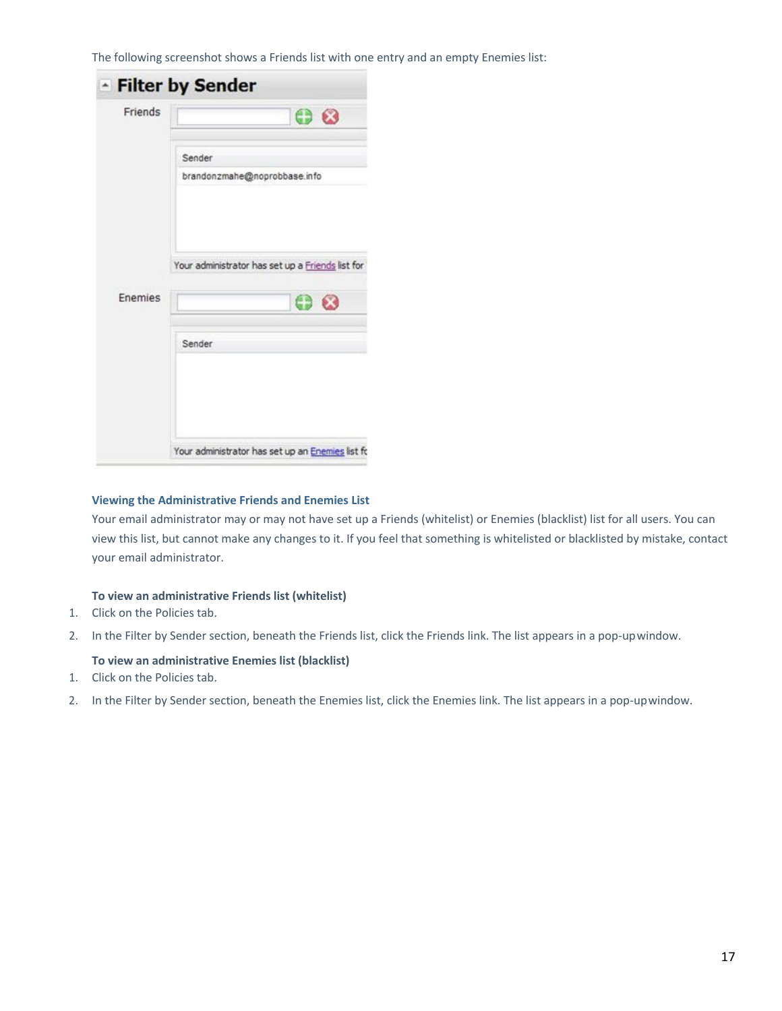The following screenshot shows a Friends list with one entry and an empty Enemies list:

| Friends |                                                  |
|---------|--------------------------------------------------|
|         | <b>00</b>                                        |
|         | Sender                                           |
|         | brandonzmahe@noprobbase.info                     |
|         | Your administrator has set up a Friends list for |
|         |                                                  |
|         | $\bullet$ $\bullet$                              |
|         | Sender                                           |
| Enemies |                                                  |
|         |                                                  |

# **Viewing the Administrative Friends and Enemies List**

Your email administrator may or may not have set up a Friends (whitelist) or Enemies (blacklist) list for all users. You can view this list, but cannot make any changes to it. If you feel that something is whitelisted or blacklisted by mistake, contact your email administrator.

# **To view an administrative Friends list (whitelist)**

- 1. Click on the Policies tab.
- 2. In the Filter by Sender section, beneath the Friends list, click the Friends link. The list appears in a pop-upwindow.

# **To view an administrative Enemies list (blacklist)**

- 1. Click on the Policies tab.
- 2. In the Filter by Sender section, beneath the Enemies list, click the Enemies link. The list appears in a pop-upwindow.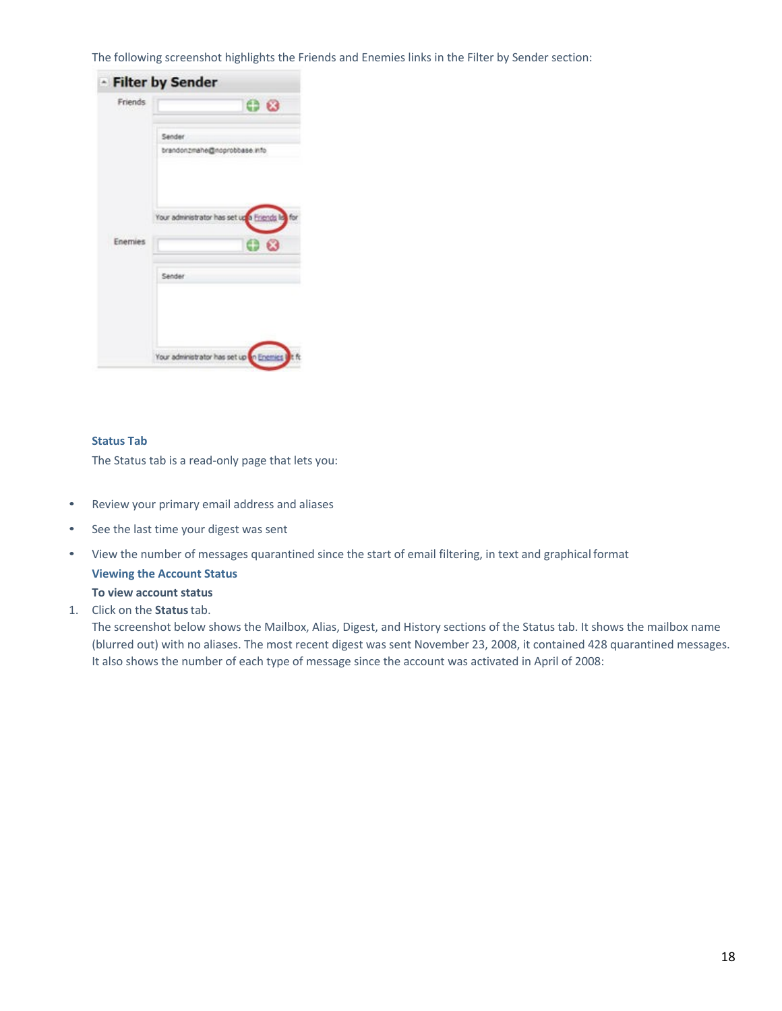The following screenshot highlights the Friends and Enemies links in the Filter by Sender section:



# **Status Tab**

The Status tab is a read-only page that lets you:

- Review your primary email address and aliases
- See the last time your digest was sent
- View the number of messages quarantined since the start of email filtering, in text and graphical format

**Viewing the Account Status To view account status**

1. Click on the **Status**tab.

The screenshot below shows the Mailbox, Alias, Digest, and History sections of the Status tab. It shows the mailbox name (blurred out) with no aliases. The most recent digest was sent November 23, 2008, it contained 428 quarantined messages. It also shows the number of each type of message since the account was activated in April of 2008: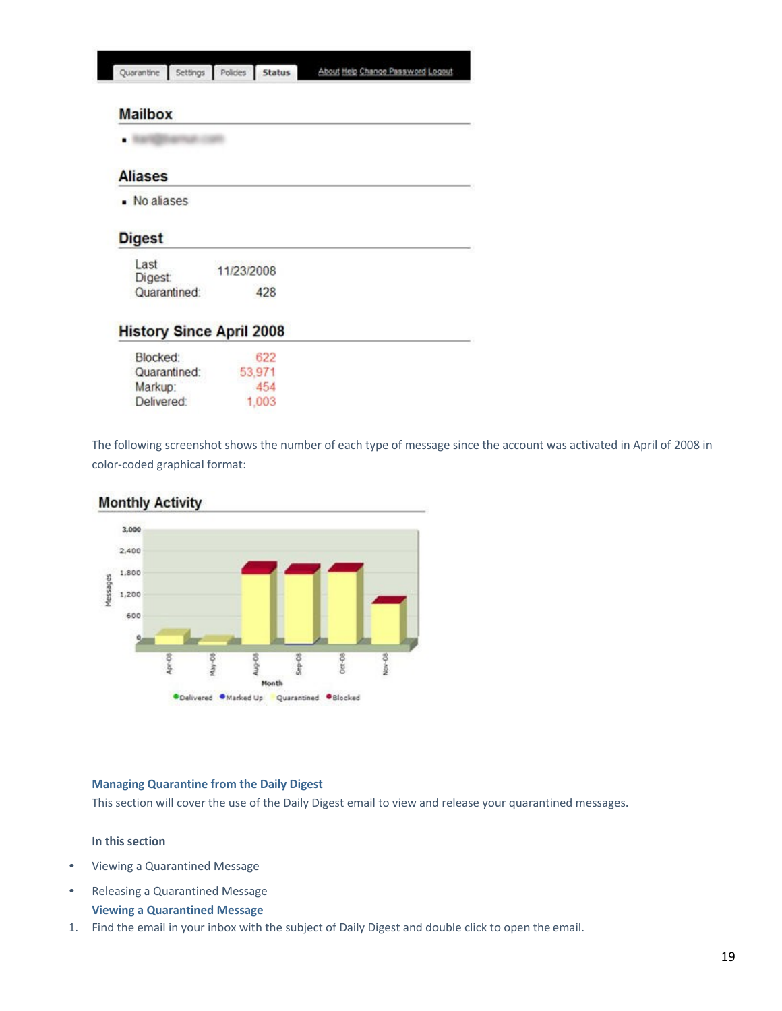| Quarantine Settings Policies Status |  | About Help Change Password Logout |
|-------------------------------------|--|-----------------------------------|
|                                     |  |                                   |

# **Mailbox**

# **Aliases**

- No aliases

# **Digest**

| Last<br><b>Digest:</b> | 11/23/2008 |
|------------------------|------------|
| Quarantined:           | 428        |

# **History Since April 2008**

| Blocked:     | 622    |
|--------------|--------|
| Quarantined: | 53.971 |
| Markup:      | 454    |
| Delivered:   | 1.003  |

The following screenshot shows the number of each type of message since the account was activated in April of 2008 in color-coded graphical format:

# 3,000 2,400 1,800 lessages 1,200 600  $Oct-08$ **Stp-08** Nov-08 luc-08 ğ **ODelivered OMarked Up Quarantined OBlocked**

# **Monthly Activity**

# **Managing Quarantine from the Daily Digest**

This section will cover the use of the Daily Digest email to view and release your quarantined messages.

# **In this section**

- Viewing a Quarantined Message
- Releasing a Quarantined Message **Viewing a Quarantined Message**
- 1. Find the email in your inbox with the subject of Daily Digest and double click to open the email.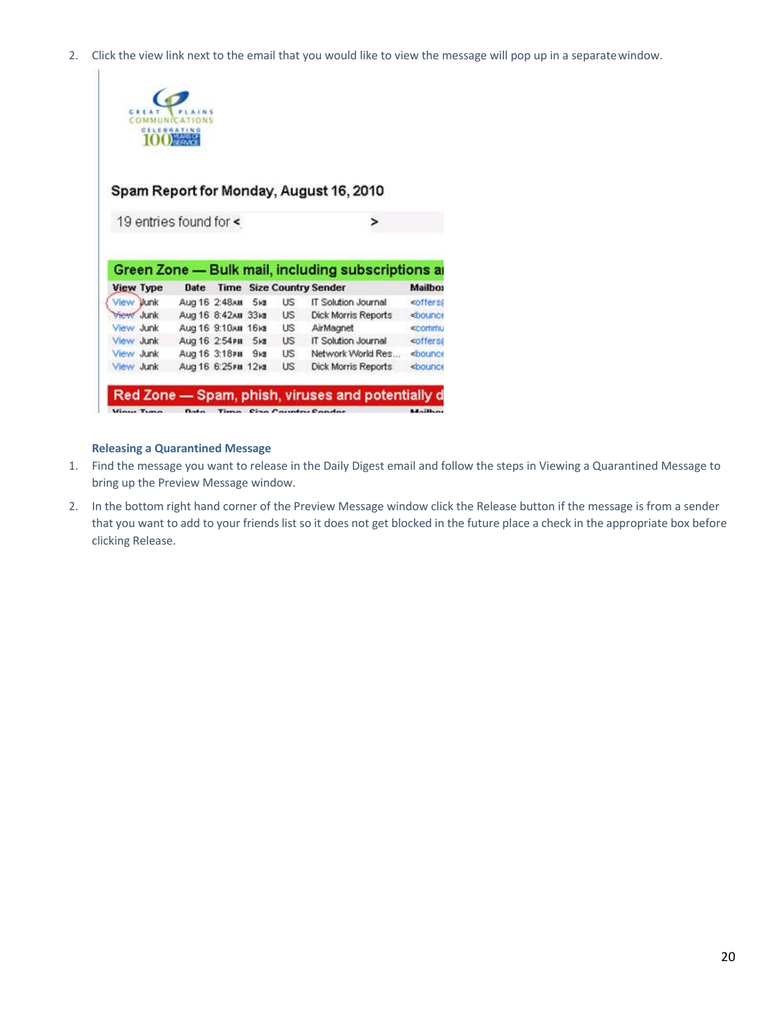2. Click the view link next to the email that you would like to view the message will pop up in a separatewindow.



# Spam Report for Monday, August 16, 2010

|                  |                    |                |                                 | Green Zone - Bulk mail, including subscriptions an |                                 |
|------------------|--------------------|----------------|---------------------------------|----------------------------------------------------|---------------------------------|
| <b>View Type</b> | <b>Date</b>        |                | <b>Time Size Country Sender</b> |                                                    | Mailbos                         |
| View Junk        | Aug 16 2:48AM      | 5 <sub>1</sub> | US                              | IT Solution Journal                                | coffers6                        |
| <b>View Junk</b> | Aug 16 8:42AM 33KB |                | US                              | <b>Dick Morris Reports</b>                         | <bounce< td=""></bounce<>       |
| View Junk        | Aug 16 9:10AM 16KB |                | <b>LIS</b>                      | AirMagnet                                          | <b><commnu< b=""></commnu<></b> |
| View Junk        | Aug 16 2:54PM      | 5 <sub>1</sub> | <b>US</b>                       | IT Solution Journal                                | <offers6< td=""></offers6<>     |
| View Junk        | Aug 16 3:18PM      | 9 <sub>1</sub> | US.                             | Network World Res                                  | <bounce< td=""></bounce<>       |
| View Junk        | Aug 16 6:25PM 12KB |                | US                              | <b>Dick Morris Reports</b>                         | <b>«bounce</b>                  |

# **Releasing a Quarantined Message**

- 1. Find the message you want to release in the Daily Digest email and follow the steps in Viewing a Quarantined Message to bring up the Preview Message window.
- 2. In the bottom right hand corner of the Preview Message window click the Release button if the message is from a sender that you want to add to your friends list so it does not get blocked in the future place a check in the appropriate box before clicking Release.